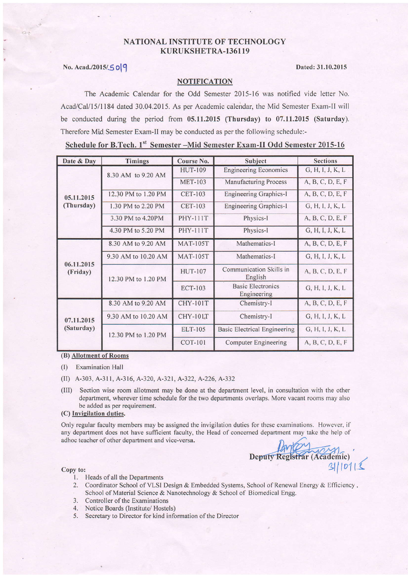# NATIONAL INSTITUTE OF TECHNOLOGY KURUKSHETRA-136119

## No. Acad./2015/5019 Dated: 31.10.2015

### **NOTIFICATION**

The Academic Calendar for the Odd Semester 2015-16 was notified vide letter No. Acad/CaI/15/1184 dated 30.04.2015. As per Academic calendar, the Mid Semester Exam-ll will be conducted during the period from 05.11.2015 (Thursday) to 07.11.2015 (Saturday). Therefore Mid Semester Exam-ll may be conducted as per the following schedule:-

Schedule for B.Tech. 1st Semester -Mid Semester Exam-II Odd Semester 2015-16

| Date & Day | <b>Timings</b>      | Course No.      | Subject                                 | <b>Sections</b>  |
|------------|---------------------|-----------------|-----------------------------------------|------------------|
|            | 8.30 AM to 9.20 AM  | <b>HUT-109</b>  | <b>Engineering Economics</b>            | G, H, I, J, K, L |
|            |                     | <b>MET-103</b>  | <b>Manufacturing Process</b>            | A, B, C, D, E, F |
| 05.11.2015 | 12.30 PM to 1.20 PM | <b>CET-103</b>  | <b>Engineering Graphics-I</b>           | A, B, C, D, E, F |
| (Thursday) | 1.30 PM to 2.20 PM  | <b>CET-103</b>  | <b>Engineering Graphics-I</b>           | G, H, I, J, K, L |
|            | 3.30 PM to 4.20PM   | <b>PHY-111T</b> | Physics-I                               | A, B, C, D, E, F |
|            | 4.30 PM to 5.20 PM  | <b>PHY-111T</b> | Physics-I                               | G, H, I, J, K, L |
|            | 8.30 AM to 9.20 AM  | <b>MAT-105T</b> | Mathematics-I                           | A, B, C, D, E, F |
| 06.11.2015 | 9.30 AM to 10.20 AM | <b>MAT-105T</b> | Mathematics-I                           | G, H, I, J, K, L |
| (Friday)   | 12.30 PM to 1.20 PM | <b>HUT-107</b>  | Communication Skills in<br>English      | A, B, C, D, E, F |
|            |                     | <b>ECT-103</b>  | <b>Basic Electronics</b><br>Engineering | G, H, I, J, K, L |
|            | 8.30 AM to 9.20 AM  | <b>CHY-101T</b> | Chemistry-I                             | A, B, C, D, E, F |
| 07.11.2015 | 9.30 AM to 10.20 AM | <b>CHY-101T</b> | Chemistry-I                             | G, H, I, J, K, L |
| (Saturday) | 12.30 PM to 1.20 PM | ELT-105         | <b>Basic Electrical Engineering</b>     | G, H, I, J, K, L |
|            |                     | <b>COT-101</b>  | Computer Engineering                    | A, B, C, D, E, F |

(B) Allotment of Rooms

(l) Examination Hall

- (II) A-303, A-311, A-316, A-320, A-321, A-322, A-226, A-332
- (III) Section wise room allotment may be done at the department level, in consultation with the other department, wherever time schedule for the two departments overlaps. More vacant rooms may also be added as per requirement.

### (C) Invigilation duties.

Only regular faculty members may be assigned the invigilation duties for these examinations. However, if any department does not haye sufficient faculty, the Head of concemed department may take the help of adhoc teacher of other department and vice-versa.

Deputy Registrar (Academic)  $\mathbb{E}[\mathbf{C}[\mathbf{D}]]$ 

- l. Heads ofall the Departments
- 2. Coordinator School of VLSI Design & Embedded Systems, School of Renewal Energy & Efficiency, School of Material Science & Nanotechnology & School of Biomedical Engg.
- 3. Controller of the Examinations
- 4. Notice Boards (Institute/ Hostels)
- 5. Secretary to Director for kind information of the Director